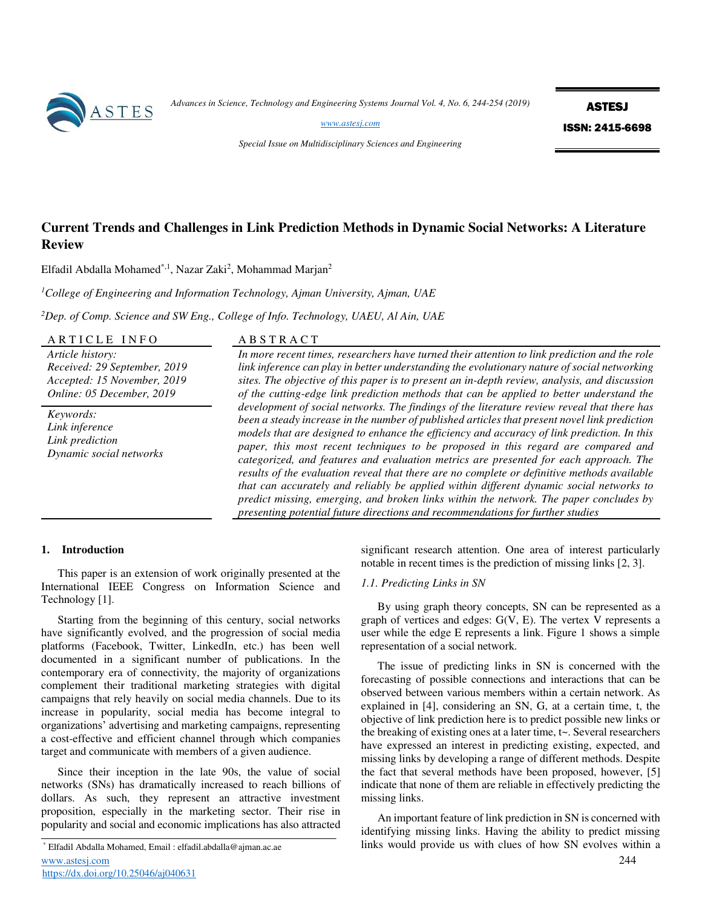

*Advances in Science, Technology and Engineering Systems Journal Vol. 4, No. 6, 244-254 (2019)* 

ASTESJ ISSN: 2415-6698

*[www.astesj.com](http://www.astesj.com/)* 

*Special Issue on Multidisciplinary Sciences and Engineering* 

# **Current Trends and Challenges in Link Prediction Methods in Dynamic Social Networks: A Literature Review**

Elfadil Abdalla Mohamed $^{*,1}$ , Nazar Zaki<sup>2</sup>, Mohammad Marjan<sup>2</sup>

*<sup>1</sup>College of Engineering and Information Technology, Ajman University, Ajman, UAE* 

*<sup>2</sup>Dep. of Comp. Science and SW Eng., College of Info. Technology, UAEU, Al Ain, UAE* 

## ARTICLE INFO ABSTRACT

*Article history: Received: 29 September, 2019 Accepted: 15 November, 2019 Online: 05 December, 2019* 

*Keywords: Link inference Link prediction Dynamic social networks*

*In more recent times, researchers have turned their attention to link prediction and the role link inference can play in better understanding the evolutionary nature of social networking sites. The objective of this paper is to present an in-depth review, analysis, and discussion of the cutting-edge link prediction methods that can be applied to better understand the development of social networks. The findings of the literature review reveal that there has been a steady increase in the number of published articles that present novel link prediction models that are designed to enhance the efficiency and accuracy of link prediction. In this paper, this most recent techniques to be proposed in this regard are compared and categorized, and features and evaluation metrics are presented for each approach. The results of the evaluation reveal that there are no complete or definitive methods available that can accurately and reliably be applied within different dynamic social networks to predict missing, emerging, and broken links within the network. The paper concludes by presenting potential future directions and recommendations for further studies* 

## **1. Introduction**

This paper is an extension of work originally presented at the International IEEE Congress on Information Science and Technology [1].

Starting from the beginning of this century, social networks have significantly evolved, and the progression of social media platforms (Facebook, Twitter, LinkedIn, etc.) has been well documented in a significant number of publications. In the contemporary era of connectivity, the majority of organizations complement their traditional marketing strategies with digital campaigns that rely heavily on social media channels. Due to its increase in popularity, social media has become integral to organizations' advertising and marketing campaigns, representing a cost-effective and efficient channel through which companies target and communicate with members of a given audience.

Since their inception in the late 90s, the value of social networks (SNs) has dramatically increased to reach billions of dollars. As such, they represent an attractive investment proposition, especially in the marketing sector. Their rise in popularity and social and economic implications has also attracted

significant research attention. One area of interest particularly notable in recent times is the prediction of missing links [2, 3].

## *1.1. Predicting Links in SN*

By using graph theory concepts, SN can be represented as a graph of vertices and edges: G(V, E). The vertex V represents a user while the edge E represents a link. Figure 1 shows a simple representation of a social network.

The issue of predicting links in SN is concerned with the forecasting of possible connections and interactions that can be observed between various members within a certain network. As explained in [4], considering an SN, G, at a certain time, t, the objective of link prediction here is to predict possible new links or the breaking of existing ones at a later time, t~. Several researchers have expressed an interest in predicting existing, expected, and missing links by developing a range of different methods. Despite the fact that several methods have been proposed, however, [5] indicate that none of them are reliable in effectively predicting the missing links.

An important feature of link prediction in SN is concerned with identifying missing links. Having the ability to predict missing links would provide us with clues of how SN evolves within a

[www.astesj.com](http://www.astesj.com/) 244 \* Elfadil Abdalla Mohamed, Email : elfadil.abdalla@ajman.ac.ae <https://dx.doi.org/10.25046/aj040631>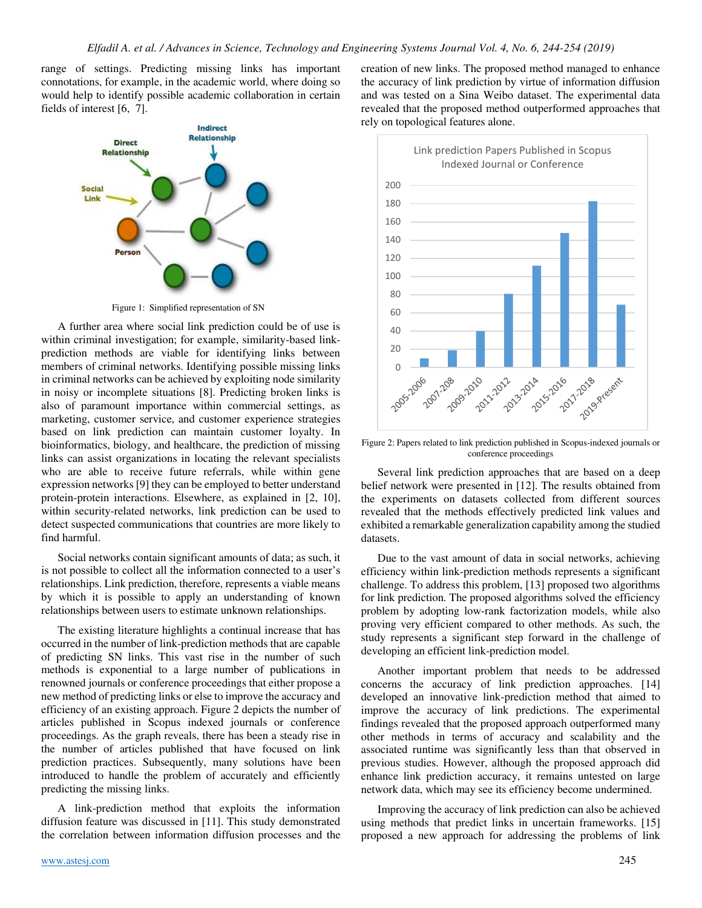range of settings. Predicting missing links has important connotations, for example, in the academic world, where doing so would help to identify possible academic collaboration in certain fields of interest [6, 7].



Figure 1: Simplified representation of SN

A further area where social link prediction could be of use is within criminal investigation; for example, similarity-based linkprediction methods are viable for identifying links between members of criminal networks. Identifying possible missing links in criminal networks can be achieved by exploiting node similarity in noisy or incomplete situations [8]. Predicting broken links is also of paramount importance within commercial settings, as marketing, customer service, and customer experience strategies based on link prediction can maintain customer loyalty. In bioinformatics, biology, and healthcare, the prediction of missing links can assist organizations in locating the relevant specialists who are able to receive future referrals, while within gene expression networks [9] they can be employed to better understand protein-protein interactions. Elsewhere, as explained in [2, 10], within security-related networks, link prediction can be used to detect suspected communications that countries are more likely to find harmful.

Social networks contain significant amounts of data; as such, it is not possible to collect all the information connected to a user's relationships. Link prediction, therefore, represents a viable means by which it is possible to apply an understanding of known relationships between users to estimate unknown relationships.

The existing literature highlights a continual increase that has occurred in the number of link-prediction methods that are capable of predicting SN links. This vast rise in the number of such methods is exponential to a large number of publications in renowned journals or conference proceedings that either propose a new method of predicting links or else to improve the accuracy and efficiency of an existing approach. Figure 2 depicts the number of articles published in Scopus indexed journals or conference proceedings. As the graph reveals, there has been a steady rise in the number of articles published that have focused on link prediction practices. Subsequently, many solutions have been introduced to handle the problem of accurately and efficiently predicting the missing links.

A link-prediction method that exploits the information diffusion feature was discussed in [11]. This study demonstrated the correlation between information diffusion processes and the creation of new links. The proposed method managed to enhance the accuracy of link prediction by virtue of information diffusion and was tested on a Sina Weibo dataset. The experimental data revealed that the proposed method outperformed approaches that rely on topological features alone.



Figure 2: Papers related to link prediction published in Scopus-indexed journals or conference proceedings

Several link prediction approaches that are based on a deep belief network were presented in [12]. The results obtained from the experiments on datasets collected from different sources revealed that the methods effectively predicted link values and exhibited a remarkable generalization capability among the studied datasets.

Due to the vast amount of data in social networks, achieving efficiency within link-prediction methods represents a significant challenge. To address this problem, [13] proposed two algorithms for link prediction. The proposed algorithms solved the efficiency problem by adopting low-rank factorization models, while also proving very efficient compared to other methods. As such, the study represents a significant step forward in the challenge of developing an efficient link-prediction model.

Another important problem that needs to be addressed concerns the accuracy of link prediction approaches. [14] developed an innovative link-prediction method that aimed to improve the accuracy of link predictions. The experimental findings revealed that the proposed approach outperformed many other methods in terms of accuracy and scalability and the associated runtime was significantly less than that observed in previous studies. However, although the proposed approach did enhance link prediction accuracy, it remains untested on large network data, which may see its efficiency become undermined.

Improving the accuracy of link prediction can also be achieved using methods that predict links in uncertain frameworks. [15] proposed a new approach for addressing the problems of link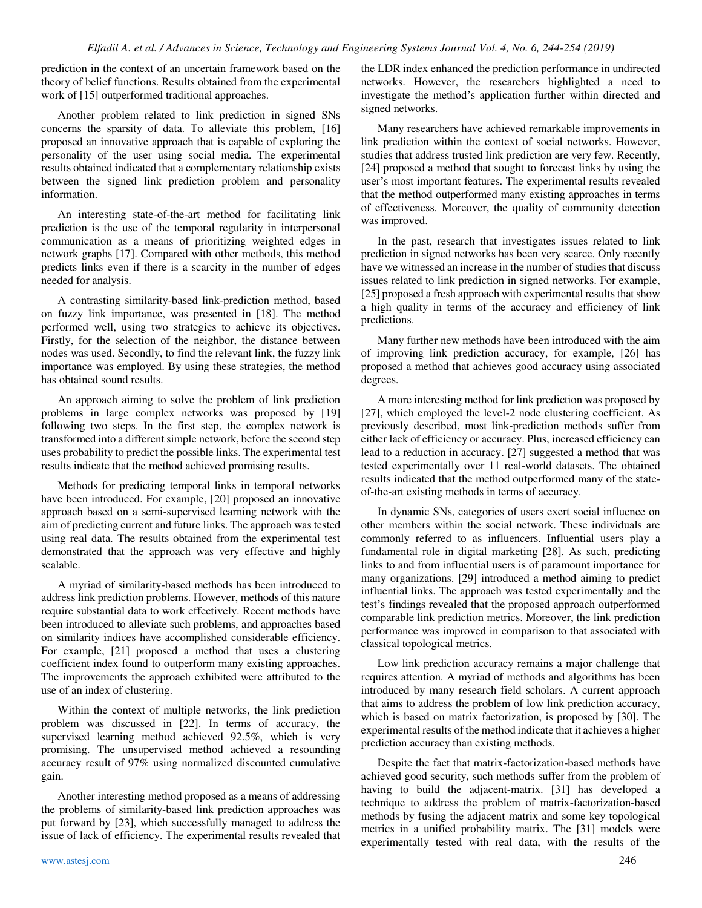prediction in the context of an uncertain framework based on the theory of belief functions. Results obtained from the experimental work of [15] outperformed traditional approaches.

Another problem related to link prediction in signed SNs concerns the sparsity of data. To alleviate this problem, [16] proposed an innovative approach that is capable of exploring the personality of the user using social media. The experimental results obtained indicated that a complementary relationship exists between the signed link prediction problem and personality information.

An interesting state-of-the-art method for facilitating link prediction is the use of the temporal regularity in interpersonal communication as a means of prioritizing weighted edges in network graphs [17]. Compared with other methods, this method predicts links even if there is a scarcity in the number of edges needed for analysis.

A contrasting similarity-based link-prediction method, based on fuzzy link importance, was presented in [18]. The method performed well, using two strategies to achieve its objectives. Firstly, for the selection of the neighbor, the distance between nodes was used. Secondly, to find the relevant link, the fuzzy link importance was employed. By using these strategies, the method has obtained sound results.

An approach aiming to solve the problem of link prediction problems in large complex networks was proposed by [19] following two steps. In the first step, the complex network is transformed into a different simple network, before the second step uses probability to predict the possible links. The experimental test results indicate that the method achieved promising results.

Methods for predicting temporal links in temporal networks have been introduced. For example, [20] proposed an innovative approach based on a semi-supervised learning network with the aim of predicting current and future links. The approach was tested using real data. The results obtained from the experimental test demonstrated that the approach was very effective and highly scalable.

A myriad of similarity-based methods has been introduced to address link prediction problems. However, methods of this nature require substantial data to work effectively. Recent methods have been introduced to alleviate such problems, and approaches based on similarity indices have accomplished considerable efficiency. For example, [21] proposed a method that uses a clustering coefficient index found to outperform many existing approaches. The improvements the approach exhibited were attributed to the use of an index of clustering.

Within the context of multiple networks, the link prediction problem was discussed in [22]. In terms of accuracy, the supervised learning method achieved 92.5%, which is very promising. The unsupervised method achieved a resounding accuracy result of 97% using normalized discounted cumulative gain.

Another interesting method proposed as a means of addressing the problems of similarity-based link prediction approaches was put forward by [23], which successfully managed to address the issue of lack of efficiency. The experimental results revealed that the LDR index enhanced the prediction performance in undirected networks. However, the researchers highlighted a need to investigate the method's application further within directed and signed networks.

Many researchers have achieved remarkable improvements in link prediction within the context of social networks. However, studies that address trusted link prediction are very few. Recently, [24] proposed a method that sought to forecast links by using the user's most important features. The experimental results revealed that the method outperformed many existing approaches in terms of effectiveness. Moreover, the quality of community detection was improved.

In the past, research that investigates issues related to link prediction in signed networks has been very scarce. Only recently have we witnessed an increase in the number of studies that discuss issues related to link prediction in signed networks. For example, [25] proposed a fresh approach with experimental results that show a high quality in terms of the accuracy and efficiency of link predictions.

Many further new methods have been introduced with the aim of improving link prediction accuracy, for example, [26] has proposed a method that achieves good accuracy using associated degrees.

A more interesting method for link prediction was proposed by [27], which employed the level-2 node clustering coefficient. As previously described, most link-prediction methods suffer from either lack of efficiency or accuracy. Plus, increased efficiency can lead to a reduction in accuracy. [27] suggested a method that was tested experimentally over 11 real-world datasets. The obtained results indicated that the method outperformed many of the stateof-the-art existing methods in terms of accuracy.

In dynamic SNs, categories of users exert social influence on other members within the social network. These individuals are commonly referred to as influencers. Influential users play a fundamental role in digital marketing [28]. As such, predicting links to and from influential users is of paramount importance for many organizations. [29] introduced a method aiming to predict influential links. The approach was tested experimentally and the test's findings revealed that the proposed approach outperformed comparable link prediction metrics. Moreover, the link prediction performance was improved in comparison to that associated with classical topological metrics.

Low link prediction accuracy remains a major challenge that requires attention. A myriad of methods and algorithms has been introduced by many research field scholars. A current approach that aims to address the problem of low link prediction accuracy, which is based on matrix factorization, is proposed by [30]. The experimental results of the method indicate that it achieves a higher prediction accuracy than existing methods.

Despite the fact that matrix-factorization-based methods have achieved good security, such methods suffer from the problem of having to build the adjacent-matrix. [31] has developed a technique to address the problem of matrix-factorization-based methods by fusing the adjacent matrix and some key topological metrics in a unified probability matrix. The [31] models were experimentally tested with real data, with the results of the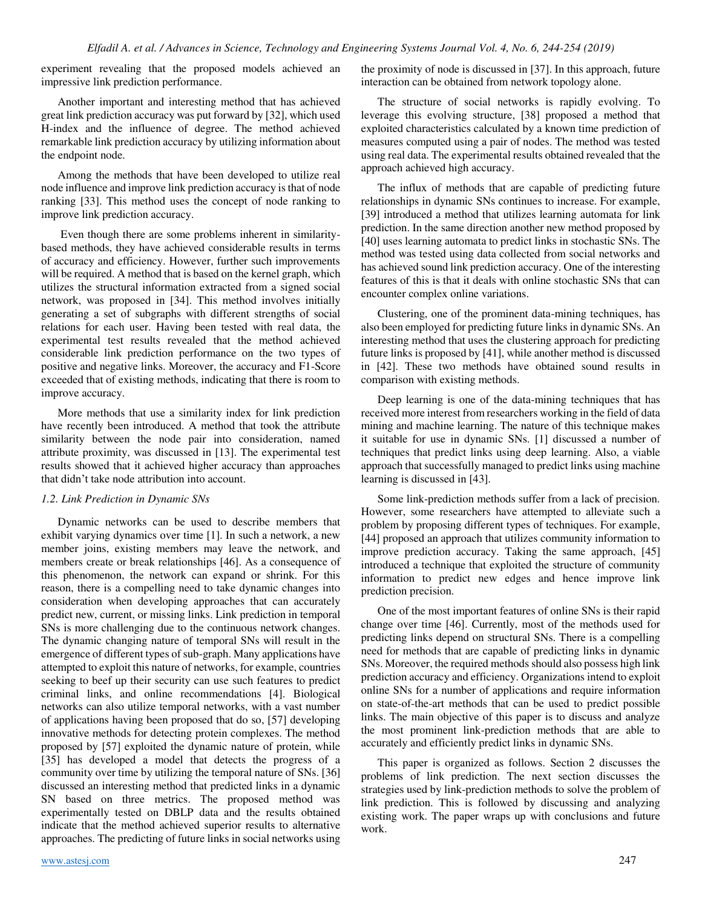experiment revealing that the proposed models achieved an impressive link prediction performance.

Another important and interesting method that has achieved great link prediction accuracy was put forward by [32], which used H-index and the influence of degree. The method achieved remarkable link prediction accuracy by utilizing information about the endpoint node.

Among the methods that have been developed to utilize real node influence and improve link prediction accuracy is that of node ranking [33]. This method uses the concept of node ranking to improve link prediction accuracy.

 Even though there are some problems inherent in similaritybased methods, they have achieved considerable results in terms of accuracy and efficiency. However, further such improvements will be required. A method that is based on the kernel graph, which utilizes the structural information extracted from a signed social network, was proposed in [34]. This method involves initially generating a set of subgraphs with different strengths of social relations for each user. Having been tested with real data, the experimental test results revealed that the method achieved considerable link prediction performance on the two types of positive and negative links. Moreover, the accuracy and F1-Score exceeded that of existing methods, indicating that there is room to improve accuracy.

More methods that use a similarity index for link prediction have recently been introduced. A method that took the attribute similarity between the node pair into consideration, named attribute proximity, was discussed in [13]. The experimental test results showed that it achieved higher accuracy than approaches that didn't take node attribution into account.

## *1.2. Link Prediction in Dynamic SNs*

Dynamic networks can be used to describe members that exhibit varying dynamics over time [1]. In such a network, a new member joins, existing members may leave the network, and members create or break relationships [46]. As a consequence of this phenomenon, the network can expand or shrink. For this reason, there is a compelling need to take dynamic changes into consideration when developing approaches that can accurately predict new, current, or missing links. Link prediction in temporal SNs is more challenging due to the continuous network changes. The dynamic changing nature of temporal SNs will result in the emergence of different types of sub-graph. Many applications have attempted to exploit this nature of networks, for example, countries seeking to beef up their security can use such features to predict criminal links, and online recommendations [4]. Biological networks can also utilize temporal networks, with a vast number of applications having been proposed that do so, [57] developing innovative methods for detecting protein complexes. The method proposed by [57] exploited the dynamic nature of protein, while [35] has developed a model that detects the progress of a community over time by utilizing the temporal nature of SNs. [36] discussed an interesting method that predicted links in a dynamic SN based on three metrics. The proposed method was experimentally tested on DBLP data and the results obtained indicate that the method achieved superior results to alternative approaches. The predicting of future links in social networks using

the proximity of node is discussed in [37]. In this approach, future interaction can be obtained from network topology alone.

The structure of social networks is rapidly evolving. To leverage this evolving structure, [38] proposed a method that exploited characteristics calculated by a known time prediction of measures computed using a pair of nodes. The method was tested using real data. The experimental results obtained revealed that the approach achieved high accuracy.

The influx of methods that are capable of predicting future relationships in dynamic SNs continues to increase. For example, [39] introduced a method that utilizes learning automata for link prediction. In the same direction another new method proposed by [40] uses learning automata to predict links in stochastic SNs. The method was tested using data collected from social networks and has achieved sound link prediction accuracy. One of the interesting features of this is that it deals with online stochastic SNs that can encounter complex online variations.

Clustering, one of the prominent data-mining techniques, has also been employed for predicting future links in dynamic SNs. An interesting method that uses the clustering approach for predicting future links is proposed by [41], while another method is discussed in [42]. These two methods have obtained sound results in comparison with existing methods.

Deep learning is one of the data-mining techniques that has received more interest from researchers working in the field of data mining and machine learning. The nature of this technique makes it suitable for use in dynamic SNs. [1] discussed a number of techniques that predict links using deep learning. Also, a viable approach that successfully managed to predict links using machine learning is discussed in [43].

Some link-prediction methods suffer from a lack of precision. However, some researchers have attempted to alleviate such a problem by proposing different types of techniques. For example, [44] proposed an approach that utilizes community information to improve prediction accuracy. Taking the same approach, [45] introduced a technique that exploited the structure of community information to predict new edges and hence improve link prediction precision.

One of the most important features of online SNs is their rapid change over time [46]. Currently, most of the methods used for predicting links depend on structural SNs. There is a compelling need for methods that are capable of predicting links in dynamic SNs. Moreover, the required methods should also possess high link prediction accuracy and efficiency. Organizations intend to exploit online SNs for a number of applications and require information on state-of-the-art methods that can be used to predict possible links. The main objective of this paper is to discuss and analyze the most prominent link-prediction methods that are able to accurately and efficiently predict links in dynamic SNs.

This paper is organized as follows. Section 2 discusses the problems of link prediction. The next section discusses the strategies used by link-prediction methods to solve the problem of link prediction. This is followed by discussing and analyzing existing work. The paper wraps up with conclusions and future work.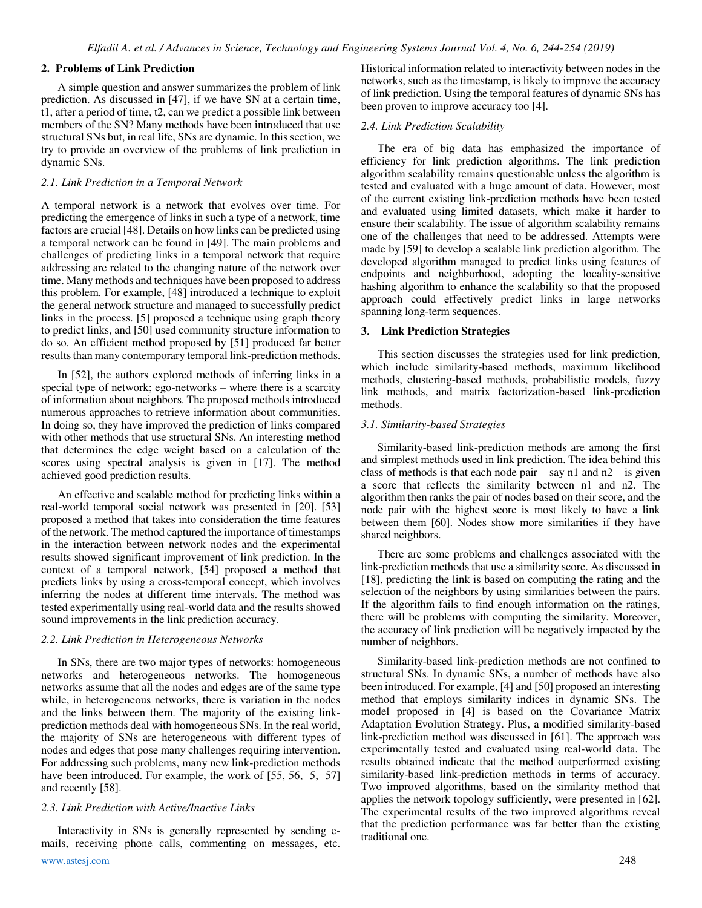## **2. Problems of Link Prediction**

A simple question and answer summarizes the problem of link prediction. As discussed in [47], if we have SN at a certain time, t1, after a period of time, t2, can we predict a possible link between members of the SN? Many methods have been introduced that use structural SNs but, in real life, SNs are dynamic. In this section, we try to provide an overview of the problems of link prediction in dynamic SNs.

## *2.1. Link Prediction in a Temporal Network*

A temporal network is a network that evolves over time. For predicting the emergence of links in such a type of a network, time factors are crucial [48]. Details on how links can be predicted using a temporal network can be found in [49]. The main problems and challenges of predicting links in a temporal network that require addressing are related to the changing nature of the network over time. Many methods and techniques have been proposed to address this problem. For example, [48] introduced a technique to exploit the general network structure and managed to successfully predict links in the process. [5] proposed a technique using graph theory to predict links, and [50] used community structure information to do so. An efficient method proposed by [51] produced far better results than many contemporary temporal link-prediction methods.

In [52], the authors explored methods of inferring links in a special type of network; ego-networks – where there is a scarcity of information about neighbors. The proposed methods introduced numerous approaches to retrieve information about communities. In doing so, they have improved the prediction of links compared with other methods that use structural SNs. An interesting method that determines the edge weight based on a calculation of the scores using spectral analysis is given in [17]. The method achieved good prediction results.

An effective and scalable method for predicting links within a real-world temporal social network was presented in [20]. [53] proposed a method that takes into consideration the time features of the network. The method captured the importance of timestamps in the interaction between network nodes and the experimental results showed significant improvement of link prediction. In the context of a temporal network, [54] proposed a method that predicts links by using a cross-temporal concept, which involves inferring the nodes at different time intervals. The method was tested experimentally using real-world data and the results showed sound improvements in the link prediction accuracy.

## *2.2. Link Prediction in Heterogeneous Networks*

 In SNs, there are two major types of networks: homogeneous networks and heterogeneous networks. The homogeneous networks assume that all the nodes and edges are of the same type while, in heterogeneous networks, there is variation in the nodes and the links between them. The majority of the existing linkprediction methods deal with homogeneous SNs. In the real world, the majority of SNs are heterogeneous with different types of nodes and edges that pose many challenges requiring intervention. For addressing such problems, many new link-prediction methods have been introduced. For example, the work of [55, 56, 5, 57] and recently [58].

## *2.3. Link Prediction with Active/Inactive Links*

[www.astesj.com](http://www.astesj.com/) 248 Interactivity in SNs is generally represented by sending emails, receiving phone calls, commenting on messages, etc.

Historical information related to interactivity between nodes in the networks, such as the timestamp, is likely to improve the accuracy of link prediction. Using the temporal features of dynamic SNs has been proven to improve accuracy too [4].

#### *2.4. Link Prediction Scalability*

The era of big data has emphasized the importance of efficiency for link prediction algorithms. The link prediction algorithm scalability remains questionable unless the algorithm is tested and evaluated with a huge amount of data. However, most of the current existing link-prediction methods have been tested and evaluated using limited datasets, which make it harder to ensure their scalability. The issue of algorithm scalability remains one of the challenges that need to be addressed. Attempts were made by [59] to develop a scalable link prediction algorithm. The developed algorithm managed to predict links using features of endpoints and neighborhood, adopting the locality-sensitive hashing algorithm to enhance the scalability so that the proposed approach could effectively predict links in large networks spanning long-term sequences.

#### **3. Link Prediction Strategies**

 This section discusses the strategies used for link prediction, which include similarity-based methods, maximum likelihood methods, clustering-based methods, probabilistic models, fuzzy link methods, and matrix factorization-based link-prediction methods.

## *3.1. Similarity-based Strategies*

 Similarity-based link-prediction methods are among the first and simplest methods used in link prediction. The idea behind this class of methods is that each node pair – say n1 and  $n2$  – is given a score that reflects the similarity between n1 and n2. The algorithm then ranks the pair of nodes based on their score, and the node pair with the highest score is most likely to have a link between them [60]. Nodes show more similarities if they have shared neighbors.

There are some problems and challenges associated with the link-prediction methods that use a similarity score. As discussed in [18], predicting the link is based on computing the rating and the selection of the neighbors by using similarities between the pairs. If the algorithm fails to find enough information on the ratings, there will be problems with computing the similarity. Moreover, the accuracy of link prediction will be negatively impacted by the number of neighbors.

Similarity-based link-prediction methods are not confined to structural SNs. In dynamic SNs, a number of methods have also been introduced. For example, [4] and [50] proposed an interesting method that employs similarity indices in dynamic SNs. The model proposed in [4] is based on the Covariance Matrix Adaptation Evolution Strategy. Plus, a modified similarity-based link-prediction method was discussed in [61]. The approach was experimentally tested and evaluated using real-world data. The results obtained indicate that the method outperformed existing similarity-based link-prediction methods in terms of accuracy. Two improved algorithms, based on the similarity method that applies the network topology sufficiently, were presented in [62]. The experimental results of the two improved algorithms reveal that the prediction performance was far better than the existing traditional one.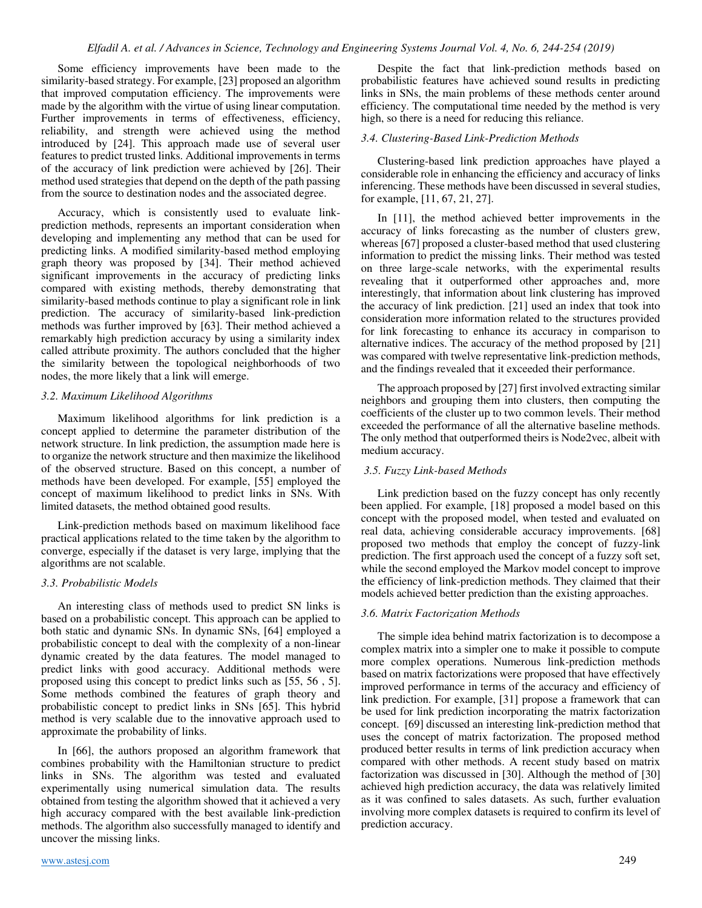Some efficiency improvements have been made to the similarity-based strategy. For example, [23] proposed an algorithm that improved computation efficiency. The improvements were made by the algorithm with the virtue of using linear computation. Further improvements in terms of effectiveness, efficiency, reliability, and strength were achieved using the method introduced by [24]. This approach made use of several user features to predict trusted links. Additional improvements in terms of the accuracy of link prediction were achieved by [26]. Their method used strategies that depend on the depth of the path passing from the source to destination nodes and the associated degree.

Accuracy, which is consistently used to evaluate linkprediction methods, represents an important consideration when developing and implementing any method that can be used for predicting links. A modified similarity-based method employing graph theory was proposed by [34]. Their method achieved significant improvements in the accuracy of predicting links compared with existing methods, thereby demonstrating that similarity-based methods continue to play a significant role in link prediction. The accuracy of similarity-based link-prediction methods was further improved by [63]. Their method achieved a remarkably high prediction accuracy by using a similarity index called attribute proximity. The authors concluded that the higher the similarity between the topological neighborhoods of two nodes, the more likely that a link will emerge.

## *3.2. Maximum Likelihood Algorithms*

Maximum likelihood algorithms for link prediction is a concept applied to determine the parameter distribution of the network structure. In link prediction, the assumption made here is to organize the network structure and then maximize the likelihood of the observed structure. Based on this concept, a number of methods have been developed. For example, [55] employed the concept of maximum likelihood to predict links in SNs. With limited datasets, the method obtained good results.

Link-prediction methods based on maximum likelihood face practical applications related to the time taken by the algorithm to converge, especially if the dataset is very large, implying that the algorithms are not scalable.

## *3.3. Probabilistic Models*

An interesting class of methods used to predict SN links is based on a probabilistic concept. This approach can be applied to both static and dynamic SNs. In dynamic SNs, [64] employed a probabilistic concept to deal with the complexity of a non-linear dynamic created by the data features. The model managed to predict links with good accuracy. Additional methods were proposed using this concept to predict links such as [55, 56 , 5]. Some methods combined the features of graph theory and probabilistic concept to predict links in SNs [65]. This hybrid method is very scalable due to the innovative approach used to approximate the probability of links.

In [66], the authors proposed an algorithm framework that combines probability with the Hamiltonian structure to predict links in SNs. The algorithm was tested and evaluated experimentally using numerical simulation data. The results obtained from testing the algorithm showed that it achieved a very high accuracy compared with the best available link-prediction methods. The algorithm also successfully managed to identify and uncover the missing links.

[www.astesj.com](http://www.astesj.com/) 249

Despite the fact that link-prediction methods based on probabilistic features have achieved sound results in predicting links in SNs, the main problems of these methods center around efficiency. The computational time needed by the method is very high, so there is a need for reducing this reliance.

## *3.4. Clustering-Based Link-Prediction Methods*

Clustering-based link prediction approaches have played a considerable role in enhancing the efficiency and accuracy of links inferencing. These methods have been discussed in several studies, for example, [11, 67, 21, 27].

In [11], the method achieved better improvements in the accuracy of links forecasting as the number of clusters grew, whereas [67] proposed a cluster-based method that used clustering information to predict the missing links. Their method was tested on three large-scale networks, with the experimental results revealing that it outperformed other approaches and, more interestingly, that information about link clustering has improved the accuracy of link prediction. [21] used an index that took into consideration more information related to the structures provided for link forecasting to enhance its accuracy in comparison to alternative indices. The accuracy of the method proposed by [21] was compared with twelve representative link-prediction methods, and the findings revealed that it exceeded their performance.

The approach proposed by [27] first involved extracting similar neighbors and grouping them into clusters, then computing the coefficients of the cluster up to two common levels. Their method exceeded the performance of all the alternative baseline methods. The only method that outperformed theirs is Node2vec, albeit with medium accuracy.

## *3.5. Fuzzy Link-based Methods*

Link prediction based on the fuzzy concept has only recently been applied. For example, [18] proposed a model based on this concept with the proposed model, when tested and evaluated on real data, achieving considerable accuracy improvements. [68] proposed two methods that employ the concept of fuzzy-link prediction. The first approach used the concept of a fuzzy soft set, while the second employed the Markov model concept to improve the efficiency of link-prediction methods. They claimed that their models achieved better prediction than the existing approaches.

## *3.6. Matrix Factorization Methods*

The simple idea behind matrix factorization is to decompose a complex matrix into a simpler one to make it possible to compute more complex operations. Numerous link-prediction methods based on matrix factorizations were proposed that have effectively improved performance in terms of the accuracy and efficiency of link prediction. For example, [31] propose a framework that can be used for link prediction incorporating the matrix factorization concept. [69] discussed an interesting link-prediction method that uses the concept of matrix factorization. The proposed method produced better results in terms of link prediction accuracy when compared with other methods. A recent study based on matrix factorization was discussed in [30]. Although the method of [30] achieved high prediction accuracy, the data was relatively limited as it was confined to sales datasets. As such, further evaluation involving more complex datasets is required to confirm its level of prediction accuracy.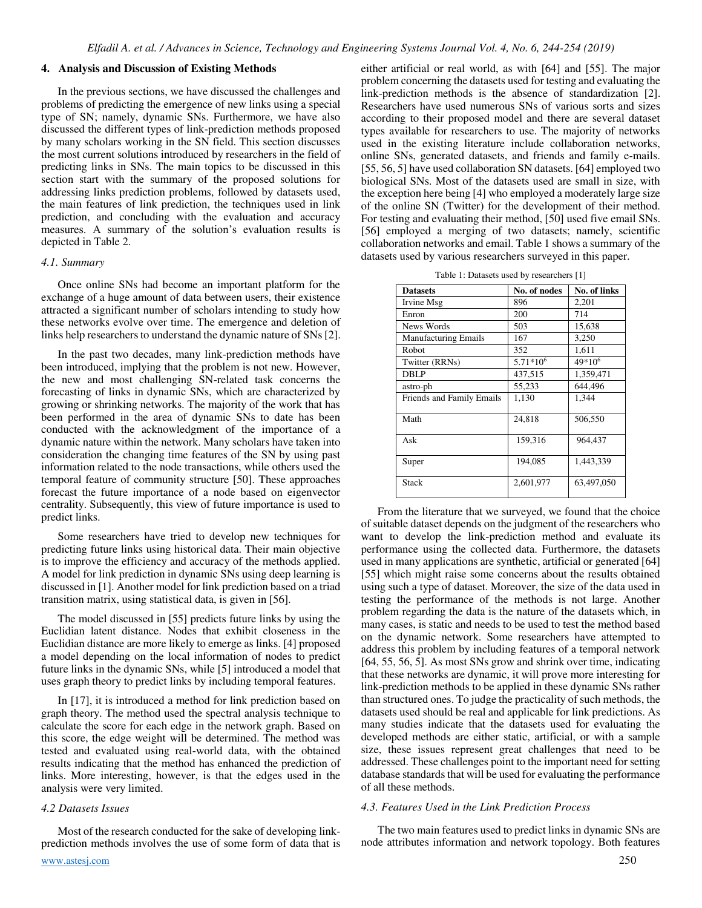## **4. Analysis and Discussion of Existing Methods**

In the previous sections, we have discussed the challenges and problems of predicting the emergence of new links using a special type of SN; namely, dynamic SNs. Furthermore, we have also discussed the different types of link-prediction methods proposed by many scholars working in the SN field. This section discusses the most current solutions introduced by researchers in the field of predicting links in SNs. The main topics to be discussed in this section start with the summary of the proposed solutions for addressing links prediction problems, followed by datasets used, the main features of link prediction, the techniques used in link prediction, and concluding with the evaluation and accuracy measures. A summary of the solution's evaluation results is depicted in Table 2.

#### *4.1. Summary*

Once online SNs had become an important platform for the exchange of a huge amount of data between users, their existence attracted a significant number of scholars intending to study how these networks evolve over time. The emergence and deletion of links help researchers to understand the dynamic nature of SNs [2].

In the past two decades, many link-prediction methods have been introduced, implying that the problem is not new. However, the new and most challenging SN-related task concerns the forecasting of links in dynamic SNs, which are characterized by growing or shrinking networks. The majority of the work that has been performed in the area of dynamic SNs to date has been conducted with the acknowledgment of the importance of a dynamic nature within the network. Many scholars have taken into consideration the changing time features of the SN by using past information related to the node transactions, while others used the temporal feature of community structure [50]. These approaches forecast the future importance of a node based on eigenvector centrality. Subsequently, this view of future importance is used to predict links.

Some researchers have tried to develop new techniques for predicting future links using historical data. Their main objective is to improve the efficiency and accuracy of the methods applied. A model for link prediction in dynamic SNs using deep learning is discussed in [1]. Another model for link prediction based on a triad transition matrix, using statistical data, is given in [56].

The model discussed in [55] predicts future links by using the Euclidian latent distance. Nodes that exhibit closeness in the Euclidian distance are more likely to emerge as links. [4] proposed a model depending on the local information of nodes to predict future links in the dynamic SNs, while [5] introduced a model that uses graph theory to predict links by including temporal features.

In [17], it is introduced a method for link prediction based on graph theory. The method used the spectral analysis technique to calculate the score for each edge in the network graph. Based on this score, the edge weight will be determined. The method was tested and evaluated using real-world data, with the obtained results indicating that the method has enhanced the prediction of links. More interesting, however, is that the edges used in the analysis were very limited.

#### *4.2 Datasets Issues*

[www.astesj.com](http://www.astesj.com/) 250 Most of the research conducted for the sake of developing linkprediction methods involves the use of some form of data that is

either artificial or real world, as with [64] and [55]. The major problem concerning the datasets used for testing and evaluating the link-prediction methods is the absence of standardization [2]. Researchers have used numerous SNs of various sorts and sizes according to their proposed model and there are several dataset types available for researchers to use. The majority of networks used in the existing literature include collaboration networks, online SNs, generated datasets, and friends and family e-mails. [55, 56, 5] have used collaboration SN datasets. [64] employed two biological SNs. Most of the datasets used are small in size, with the exception here being [4] who employed a moderately large size of the online SN (Twitter) for the development of their method. For testing and evaluating their method, [50] used five email SNs. [56] employed a merging of two datasets; namely, scientific collaboration networks and email. Table 1 shows a summary of the datasets used by various researchers surveyed in this paper.

Table 1: Datasets used by researchers [1]

| <b>Datasets</b>             | No. of nodes  | No. of links       |  |
|-----------------------------|---------------|--------------------|--|
| Irvine Msg                  | 896           | 2,201              |  |
| Enron                       | 200           | 714                |  |
| News Words                  | 503           | 15,638             |  |
| <b>Manufacturing Emails</b> | 167           | 3,250              |  |
| Robot                       | 352           | 1,611              |  |
| Twitter (RRNs)              | $5.71*10^{6}$ | 49*10 <sup>6</sup> |  |
| DBLP                        | 437,515       | 1,359,471          |  |
| astro-ph                    | 55,233        | 644,496            |  |
| Friends and Family Emails   | 1,130         | 1.344              |  |
| Math                        | 24.818        | 506,550            |  |
| Ask                         | 159,316       | 964,437            |  |
| Super                       | 194,085       | 1,443,339          |  |
| Stack                       | 2,601,977     | 63,497,050         |  |

From the literature that we surveyed, we found that the choice of suitable dataset depends on the judgment of the researchers who want to develop the link-prediction method and evaluate its performance using the collected data. Furthermore, the datasets used in many applications are synthetic, artificial or generated [64] [55] which might raise some concerns about the results obtained using such a type of dataset. Moreover, the size of the data used in testing the performance of the methods is not large. Another problem regarding the data is the nature of the datasets which, in many cases, is static and needs to be used to test the method based on the dynamic network. Some researchers have attempted to address this problem by including features of a temporal network [64, 55, 56, 5]. As most SNs grow and shrink over time, indicating that these networks are dynamic, it will prove more interesting for link-prediction methods to be applied in these dynamic SNs rather than structured ones. To judge the practicality of such methods, the datasets used should be real and applicable for link predictions. As many studies indicate that the datasets used for evaluating the developed methods are either static, artificial, or with a sample size, these issues represent great challenges that need to be addressed. These challenges point to the important need for setting database standards that will be used for evaluating the performance of all these methods.

## *4.3. Features Used in the Link Prediction Process*

The two main features used to predict links in dynamic SNs are node attributes information and network topology. Both features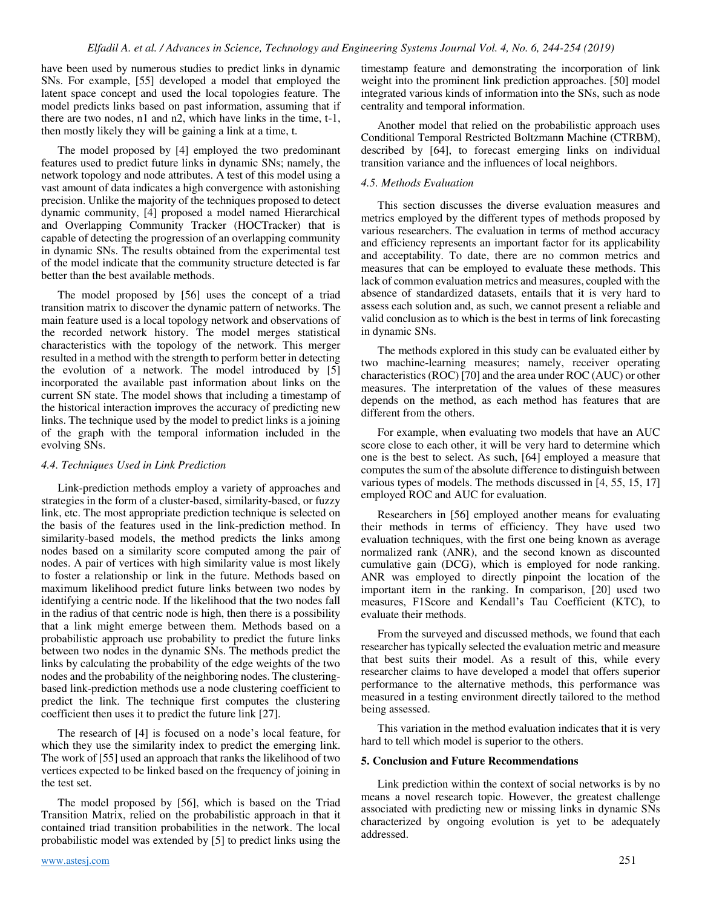have been used by numerous studies to predict links in dynamic SNs. For example, [55] developed a model that employed the latent space concept and used the local topologies feature. The model predicts links based on past information, assuming that if there are two nodes, n1 and n2, which have links in the time, t-1, then mostly likely they will be gaining a link at a time, t.

The model proposed by [4] employed the two predominant features used to predict future links in dynamic SNs; namely, the network topology and node attributes. A test of this model using a vast amount of data indicates a high convergence with astonishing precision. Unlike the majority of the techniques proposed to detect dynamic community, [4] proposed a model named Hierarchical and Overlapping Community Tracker (HOCTracker) that is capable of detecting the progression of an overlapping community in dynamic SNs. The results obtained from the experimental test of the model indicate that the community structure detected is far better than the best available methods.

The model proposed by [56] uses the concept of a triad transition matrix to discover the dynamic pattern of networks. The main feature used is a local topology network and observations of the recorded network history. The model merges statistical characteristics with the topology of the network. This merger resulted in a method with the strength to perform better in detecting the evolution of a network. The model introduced by [5] incorporated the available past information about links on the current SN state. The model shows that including a timestamp of the historical interaction improves the accuracy of predicting new links. The technique used by the model to predict links is a joining of the graph with the temporal information included in the evolving SNs.

## *4.4. Techniques Used in Link Prediction*

Link-prediction methods employ a variety of approaches and strategies in the form of a cluster-based, similarity-based, or fuzzy link, etc. The most appropriate prediction technique is selected on the basis of the features used in the link-prediction method. In similarity-based models, the method predicts the links among nodes based on a similarity score computed among the pair of nodes. A pair of vertices with high similarity value is most likely to foster a relationship or link in the future. Methods based on maximum likelihood predict future links between two nodes by identifying a centric node. If the likelihood that the two nodes fall in the radius of that centric node is high, then there is a possibility that a link might emerge between them. Methods based on a probabilistic approach use probability to predict the future links between two nodes in the dynamic SNs. The methods predict the links by calculating the probability of the edge weights of the two nodes and the probability of the neighboring nodes. The clusteringbased link-prediction methods use a node clustering coefficient to predict the link. The technique first computes the clustering coefficient then uses it to predict the future link [27].

The research of [4] is focused on a node's local feature, for which they use the similarity index to predict the emerging link. The work of [55] used an approach that ranks the likelihood of two vertices expected to be linked based on the frequency of joining in the test set.

The model proposed by [56], which is based on the Triad Transition Matrix, relied on the probabilistic approach in that it contained triad transition probabilities in the network. The local probabilistic model was extended by [5] to predict links using the

timestamp feature and demonstrating the incorporation of link weight into the prominent link prediction approaches. [50] model integrated various kinds of information into the SNs, such as node centrality and temporal information.

Another model that relied on the probabilistic approach uses Conditional Temporal Restricted Boltzmann Machine (CTRBM), described by [64], to forecast emerging links on individual transition variance and the influences of local neighbors.

## *4.5. Methods Evaluation*

This section discusses the diverse evaluation measures and metrics employed by the different types of methods proposed by various researchers. The evaluation in terms of method accuracy and efficiency represents an important factor for its applicability and acceptability. To date, there are no common metrics and measures that can be employed to evaluate these methods. This lack of common evaluation metrics and measures, coupled with the absence of standardized datasets, entails that it is very hard to assess each solution and, as such, we cannot present a reliable and valid conclusion as to which is the best in terms of link forecasting in dynamic SNs.

The methods explored in this study can be evaluated either by two machine-learning measures; namely, receiver operating characteristics (ROC) [70] and the area under ROC (AUC) or other measures. The interpretation of the values of these measures depends on the method, as each method has features that are different from the others.

For example, when evaluating two models that have an AUC score close to each other, it will be very hard to determine which one is the best to select. As such, [64] employed a measure that computes the sum of the absolute difference to distinguish between various types of models. The methods discussed in [4, 55, 15, 17] employed ROC and AUC for evaluation.

Researchers in [56] employed another means for evaluating their methods in terms of efficiency. They have used two evaluation techniques, with the first one being known as average normalized rank (ANR), and the second known as discounted cumulative gain (DCG), which is employed for node ranking. ANR was employed to directly pinpoint the location of the important item in the ranking. In comparison, [20] used two measures, F1Score and Kendall's Tau Coefficient (KTC), to evaluate their methods.

From the surveyed and discussed methods, we found that each researcher has typically selected the evaluation metric and measure that best suits their model. As a result of this, while every researcher claims to have developed a model that offers superior performance to the alternative methods, this performance was measured in a testing environment directly tailored to the method being assessed.

This variation in the method evaluation indicates that it is very hard to tell which model is superior to the others.

## **5. Conclusion and Future Recommendations**

Link prediction within the context of social networks is by no means a novel research topic. However, the greatest challenge associated with predicting new or missing links in dynamic SNs characterized by ongoing evolution is yet to be adequately addressed.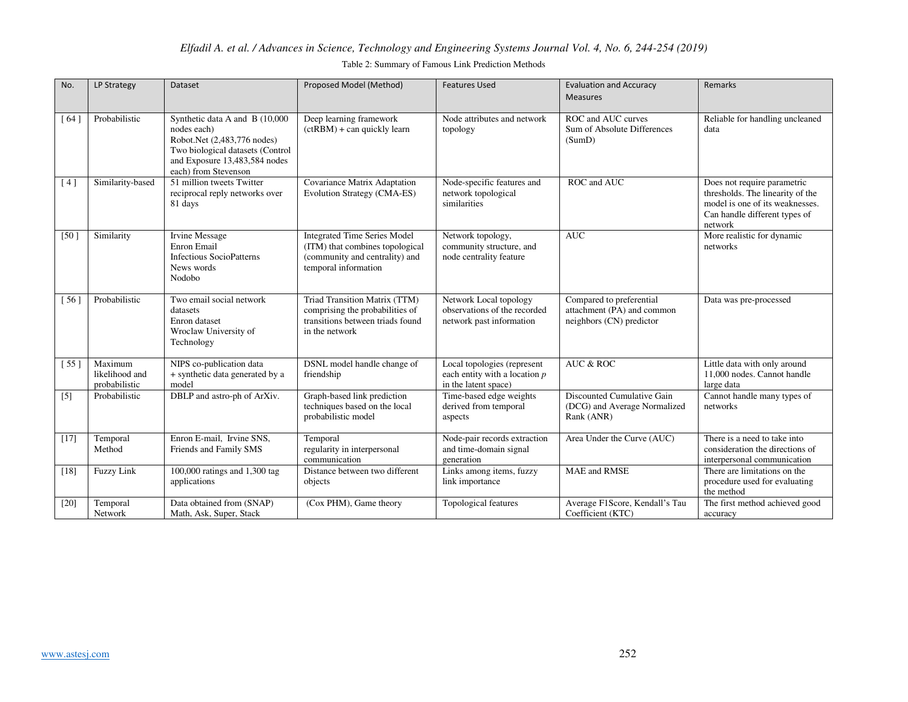## Table 2: Summary of Famous Link Prediction Methods

| No.    | LP Strategy                                | Dataset                                                                                                                                                                   | Proposed Model (Method)                                                                                                          | <b>Features Used</b>                                                                   | <b>Evaluation and Accuracy</b><br><b>Measures</b>                                  | Remarks                                                                                                                                        |
|--------|--------------------------------------------|---------------------------------------------------------------------------------------------------------------------------------------------------------------------------|----------------------------------------------------------------------------------------------------------------------------------|----------------------------------------------------------------------------------------|------------------------------------------------------------------------------------|------------------------------------------------------------------------------------------------------------------------------------------------|
| [64]   | Probabilistic                              | Synthetic data A and B (10,000<br>nodes each)<br>Robot.Net (2,483,776 nodes)<br>Two biological datasets (Control<br>and Exposure 13,483,584 nodes<br>each) from Stevenson | Deep learning framework<br>$(ctRBM) + can quickly learn$                                                                         | Node attributes and network<br>topology                                                | ROC and AUC curves<br>Sum of Absolute Differences<br>(Sumb)                        | Reliable for handling uncleaned<br>data                                                                                                        |
| [4]    | Similarity-based                           | 51 million tweets Twitter<br>reciprocal reply networks over<br>81 days                                                                                                    | Covariance Matrix Adaptation<br>Evolution Strategy (CMA-ES)                                                                      | Node-specific features and<br>network topological<br>similarities                      | ROC and AUC                                                                        | Does not require parametric<br>thresholds. The linearity of the<br>model is one of its weaknesses.<br>Can handle different types of<br>network |
| [50]   | Similarity                                 | Irvine Message<br>Enron Email<br><b>Infectious SocioPatterns</b><br>News words<br>Nodobo                                                                                  | <b>Integrated Time Series Model</b><br>(ITM) that combines topological<br>(community and centrality) and<br>temporal information | Network topology,<br>community structure, and<br>node centrality feature               | <b>AUC</b>                                                                         | More realistic for dynamic<br>networks                                                                                                         |
| 561    | Probabilistic                              | Two email social network<br>datasets<br>Enron dataset<br>Wroclaw University of<br>Technology                                                                              | Triad Transition Matrix (TTM)<br>comprising the probabilities of<br>transitions between triads found<br>in the network           | Network Local topology<br>observations of the recorded<br>network past information     | Compared to preferential<br>attachment (PA) and common<br>neighbors (CN) predictor | Data was pre-processed                                                                                                                         |
| [55]   | Maximum<br>likelihood and<br>probabilistic | NIPS co-publication data<br>+ synthetic data generated by a<br>model                                                                                                      | DSNL model handle change of<br>friendship                                                                                        | Local topologies (represent<br>each entity with a location $p$<br>in the latent space) | <b>AUC &amp; ROC</b>                                                               | Little data with only around<br>11,000 nodes. Cannot handle<br>large data                                                                      |
| $[5]$  | Probabilistic                              | DBLP and astro-ph of ArXiv.                                                                                                                                               | Graph-based link prediction<br>techniques based on the local<br>probabilistic model                                              | Time-based edge weights<br>derived from temporal<br>aspects                            | Discounted Cumulative Gain<br>(DCG) and Average Normalized<br>Rank (ANR)           | Cannot handle many types of<br>networks                                                                                                        |
| $[17]$ | Temporal<br>Method                         | Enron E-mail, Irvine SNS,<br>Friends and Family SMS                                                                                                                       | Temporal<br>regularity in interpersonal<br>communication                                                                         | Node-pair records extraction<br>and time-domain signal<br>generation                   | Area Under the Curve (AUC)                                                         | There is a need to take into<br>consideration the directions of<br>interpersonal communication                                                 |
| $[18]$ | <b>Fuzzy Link</b>                          | 100,000 ratings and 1,300 tag<br>applications                                                                                                                             | Distance between two different<br>objects                                                                                        | Links among items, fuzzy<br>link importance                                            | <b>MAE</b> and RMSE                                                                | There are limitations on the<br>procedure used for evaluating<br>the method                                                                    |
| $[20]$ | Temporal<br>Network                        | Data obtained from (SNAP)<br>Math, Ask, Super, Stack                                                                                                                      | (Cox PHM), Game theory                                                                                                           | Topological features                                                                   | Average F1Score, Kendall's Tau<br>Coefficient (KTC)                                | The first method achieved good<br>accuracy                                                                                                     |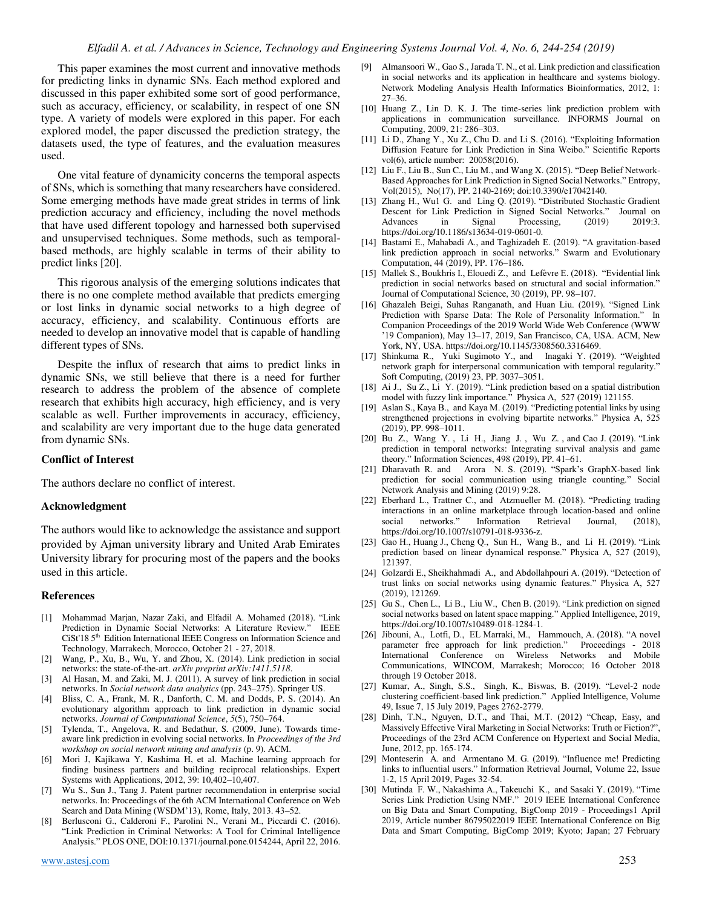This paper examines the most current and innovative methods for predicting links in dynamic SNs. Each method explored and discussed in this paper exhibited some sort of good performance, such as accuracy, efficiency, or scalability, in respect of one SN type. A variety of models were explored in this paper. For each explored model, the paper discussed the prediction strategy, the datasets used, the type of features, and the evaluation measures used.

One vital feature of dynamicity concerns the temporal aspects of SNs, which is something that many researchers have considered. Some emerging methods have made great strides in terms of link prediction accuracy and efficiency, including the novel methods that have used different topology and harnessed both supervised and unsupervised techniques. Some methods, such as temporalbased methods, are highly scalable in terms of their ability to predict links [20].

This rigorous analysis of the emerging solutions indicates that there is no one complete method available that predicts emerging or lost links in dynamic social networks to a high degree of accuracy, efficiency, and scalability. Continuous efforts are needed to develop an innovative model that is capable of handling different types of SNs.

Despite the influx of research that aims to predict links in dynamic SNs, we still believe that there is a need for further research to address the problem of the absence of complete research that exhibits high accuracy, high efficiency, and is very scalable as well. Further improvements in accuracy, efficiency, and scalability are very important due to the huge data generated from dynamic SNs.

## **Conflict of Interest**

The authors declare no conflict of interest.

#### **Acknowledgment**

The authors would like to acknowledge the assistance and support provided by Ajman university library and United Arab Emirates University library for procuring most of the papers and the books used in this article.

#### **References**

- [1] Mohammad Marjan, Nazar Zaki, and Elfadil A. Mohamed (2018). "Link Prediction in Dynamic Social Networks: A Literature Review." IEEE CiSt'18 5<sup>th</sup> Edition International IEEE Congress on Information Science and Technology, Marrakech, Morocco, October 21 - 27, 2018.
- [2] Wang, P., Xu, B., Wu, Y. and Zhou, X. (2014). Link prediction in social networks: the state-of-the-art. *arXiv preprint arXiv:1411.5118*.
- [3] Al Hasan, M. and Zaki, M. J. (2011). A survey of link prediction in social networks. In *Social network data analytics* (pp. 243–275). Springer US.
- Bliss, C. A., Frank, M. R., Danforth, C. M. and Dodds, P. S. (2014). An evolutionary algorithm approach to link prediction in dynamic social networks. *Journal of Computational Science*, *5*(5), 750–764.
- [5] Tylenda, T., Angelova, R. and Bedathur, S. (2009, June). Towards timeaware link prediction in evolving social networks. In *Proceedings of the 3rd workshop on social network mining and analysis* (p. 9). ACM.
- Mori J, Kajikawa Y, Kashima H, et al. Machine learning approach for finding business partners and building reciprocal relationships. Expert Systems with Applications, 2012, 39: 10,402–10,407.
- [7] Wu S., Sun J., Tang J. Patent partner recommendation in enterprise social networks. In: Proceedings of the 6th ACM International Conference on Web Search and Data Mining (WSDM'13), Rome, Italy, 2013. 43–52.
- [8] Berlusconi G., Calderoni F., Parolini N., Verani M., Piccardi C. (2016). "Link Prediction in Criminal Networks: A Tool for Criminal Intelligence Analysis." PLOS ONE, DOI:10.1371/journal.pone.0154244, April 22, 2016.
- [9] Almansoori W., Gao S., Jarada T. N., et al. Link prediction and classification in social networks and its application in healthcare and systems biology. Network Modeling Analysis Health Informatics Bioinformatics, 2012, 1: 27–36.
- [10] Huang Z., Lin D. K. J. The time-series link prediction problem with applications in communication surveillance. INFORMS Journal on Computing, 2009, 21: 286–303.
- [11] Li D., Zhang Y., Xu Z., Chu D. and Li S. (2016). "Exploiting Information Diffusion Feature for Link Prediction in Sina Weibo." Scientific Reports vol(6), article number: 20058(2016).
- [12] Liu F., Liu B., Sun C., Liu M., and Wang X. (2015). "Deep Belief Network-Based Approaches for Link Prediction in Signed Social Networks." Entropy, Vol(2015), No(17), PP. 2140-2169; doi:10.3390/e17042140.
- [13] Zhang H., Wu1 G. and Ling Q. (2019). "Distributed Stochastic Gradient Descent for Link Prediction in Signed Social Networks." Journal on Advances in Signal Processing,  $(2019)$  2019:3. https://doi.org/10.1186/s13634-019-0601-0.
- [14] Bastami E., Mahabadi A., and Taghizadeh E. (2019). "A gravitation-based link prediction approach in social networks." Swarm and Evolutionary Computation, 44 (2019), PP. 176–186.
- [15] Mallek S., Boukhris I., Elouedi Z., and Lefèvre E. (2018). "Evidential link prediction in social networks based on structural and social information." Journal of Computational Science, 30 (2019), PP. 98–107.
- [16] Ghazaleh Beigi, Suhas Ranganath, and Huan Liu. (2019). "Signed Link Prediction with Sparse Data: The Role of Personality Information." In Companion Proceedings of the 2019 World Wide Web Conference (WWW '19 Companion), May 13–17, 2019, San Francisco, CA, USA. ACM, New York, NY, USA. https://doi.org/10.1145/3308560.3316469.
- [17] Shinkuma R., Yuki Sugimoto Y., and Inagaki Y. (2019). "Weighted network graph for interpersonal communication with temporal regularity." Soft Computing, (2019) 23, PP. 3037–3051.
- [18] Ai J., Su Z., Li Y. (2019). "Link prediction based on a spatial distribution model with fuzzy link importance." Physica A, 527 (2019) 121155.
- [19] Aslan S., Kaya B., and Kaya M. (2019). "Predicting potential links by using strengthened projections in evolving bipartite networks." Physica A, 525 (2019), PP. 998–1011.
- [20] Bu Z., Wang Y. , Li H., Jiang J. , Wu Z. , and Cao J. (2019). "Link prediction in temporal networks: Integrating survival analysis and game theory." Information Sciences, 498 (2019), PP. 41–61.
- [21] Dharavath R. and Arora N. S. (2019). "Spark's GraphX-based link prediction for social communication using triangle counting." Social Network Analysis and Mining (2019) 9:28.
- [22] Eberhard L., Trattner C., and Atzmueller M. (2018). "Predicting trading interactions in an online marketplace through location-based and online social networks." Information Retrieval Journal, (2018), social networks." Information Retrieval Journal, (2018), https://doi.org/10.1007/s10791-018-9336-z.
- [23] Gao H., Huang J., Cheng Q., Sun H., Wang B., and Li H. (2019). "Link prediction based on linear dynamical response." Physica A, 527 (2019), 121397.
- [24] Golzardi E., Sheikhahmadi A., and Abdollahpouri A. (2019). "Detection of trust links on social networks using dynamic features." Physica A, 527 (2019), 121269.
- [25] Gu S., Chen L., Li B., Liu W., Chen B. (2019). "Link prediction on signed social networks based on latent space mapping." Applied Intelligence, 2019, https://doi.org/10.1007/s10489-018-1284-1.
- [26] Jibouni, A., Lotfi, D., EL Marraki, M., Hammouch, A. (2018). "A novel parameter free approach for link prediction." Proceedings - 2018 International Conference on Wireless Networks and Mobile Communications, WINCOM, Marrakesh; Morocco; 16 October 2018 through 19 October 2018.
- [27] Kumar, A., Singh, S.S., Singh, K., Biswas, B. (2019). "Level-2 node clustering coefficient-based link prediction." Applied Intelligence, Volume 49, Issue 7, 15 July 2019, Pages 2762-2779.
- [28] Dinh, T.N., Nguyen, D.T., and Thai, M.T. (2012) "Cheap, Easy, and Massively Effective Viral Marketing in Social Networks: Truth or Fiction?", Proceedings of the 23rd ACM Conference on Hypertext and Social Media, June, 2012, pp. 165-174.
- [29] Monteserin A. and Armentano M. G. (2019). "Influence me! Predicting links to influential users." Information Retrieval Journal, Volume 22, Issue 1-2, 15 April 2019, Pages 32-54.
- [30] Mutinda F. W., Nakashima A., Takeuchi K., and Sasaki Y. (2019). "Time Series Link Prediction Using NMF." 2019 IEEE International Conference on Big Data and Smart Computing, BigComp 2019 - Proceedings1 April 2019, Article number 86795022019 IEEE International Conference on Big Data and Smart Computing, BigComp 2019; Kyoto; Japan; 27 February